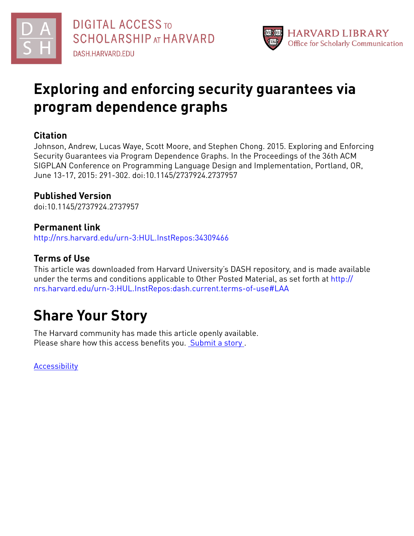



# **Exploring and enforcing security guarantees via program dependence graphs**

# **Citation**

Johnson, Andrew, Lucas Waye, Scott Moore, and Stephen Chong. 2015. Exploring and Enforcing Security Guarantees via Program Dependence Graphs. In the Proceedings of the 36th ACM SIGPLAN Conference on Programming Language Design and Implementation, Portland, OR, June 13-17, 2015: 291-302. doi:10.1145/2737924.2737957

# **Published Version**

doi:10.1145/2737924.2737957

# **Permanent link**

<http://nrs.harvard.edu/urn-3:HUL.InstRepos:34309466>

# **Terms of Use**

This article was downloaded from Harvard University's DASH repository, and is made available under the terms and conditions applicable to Other Posted Material, as set forth at [http://](http://nrs.harvard.edu/urn-3:HUL.InstRepos:dash.current.terms-of-use#LAA) [nrs.harvard.edu/urn-3:HUL.InstRepos:dash.current.terms-of-use#LAA](http://nrs.harvard.edu/urn-3:HUL.InstRepos:dash.current.terms-of-use#LAA)

# **Share Your Story**

The Harvard community has made this article openly available. Please share how this access benefits you. [Submit](http://osc.hul.harvard.edu/dash/open-access-feedback?handle=&title=Exploring%20and%20enforcing%20security%20guarantees%20via%20program%20dependence%20graphs&community=1/1&collection=1/2&owningCollection1/2&harvardAuthors=e70c2eef984a1c3513c7196c24205cb6&departmentEngineering%20and%20Applied%20Sciences) a story .

[Accessibility](https://dash.harvard.edu/pages/accessibility)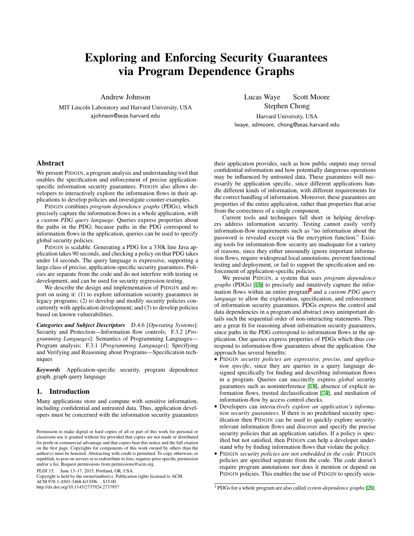# Exploring and Enforcing Security Guarantees via Program Dependence Graphs

Andrew Johnson

MIT Lincoln Laboratory and Harvard University, USA ajohnson@seas.harvard.edu

Lucas Waye Scott Moore Stephen Chong

Harvard University, USA lwaye, sdmoore, chong@seas.harvard.edu

# Abstract

We present PIDGIN, a program analysis and understanding tool that enables the specification and enforcement of precise applicationspecific information security guarantees. PIDGIN also allows developers to interactively explore the information flows in their applications to develop policies and investigate counter-examples.

PIDGIN combines *program dependence graphs* (PDGs), which precisely capture the information flows in a whole application, with a *custom PDG query language*. Queries express properties about the paths in the PDG; because paths in the PDG correspond to information flows in the application, queries can be used to specify global security policies.

PIDGIN is scalable. Generating a PDG for a 330k line Java application takes 90 seconds, and checking a policy on that PDG takes under 14 seconds. The query language is expressive, supporting a large class of precise, application-specific security guarantees. Policies are separate from the code and do not interfere with testing or development, and can be used for security regression testing.

We describe the design and implementation of PIDGIN and report on using it: (1) to explore information security guarantees in legacy programs; (2) to develop and modify security policies concurrently with application development; and (3) to develop policies based on known vulnerabilities.

*Categories and Subject Descriptors* D.4.6 [*Operating Systems*]: Security and Protection—Information flow controls; F.3.2 [*Programming Languages*]: Semantics of Programming Languages— Program analysis; F.3.1 [*Programming Languages*]: Specifying and Verifying and Reasoning about Programs—Specification techniques

*Keywords* Application-specific security, program dependence graph, graph query language

# 1. Introduction

Many applications store and compute with sensitive information, including confidential and untrusted data. Thus, application developers must be concerned with the information security guarantees

PLDI'15, June 13–17, 2015, Portland, OR, USA.

Copyright is held by the owner/author(s). Publication rights licensed to ACM. ACM 978-1-4503-3468-6/15/06. . . \$15.00. http://dx.doi.org/10.1145/2737924.2737957

their application provides, such as how public outputs may reveal confidential information and how potentially dangerous operations may be influenced by untrusted data. These guarantees will necessarily be application specific, since different applications handle different kinds of information, with different requirements for the correct handling of information. Moreover, these guarantees are properties of the entire application, rather than properties that arise from the correctness of a single component.

Current tools and techniques fall short in helping developers address information security. Testing cannot easily verify information-flow requirements such as "no information about the password is revealed except via the encryption function." Existing tools for information-flow security are inadequate for a variety of reasons, since they either unsoundly ignore important information flows, require widespread local annotations, prevent functional testing and deployment, or fail to support the specification and enforcement of application-specific policies.

We present PIDGIN, a system that uses *program dependence graphs* (PDGs) [[16\]](#page-10-0) to precisely and intuitively capture the infor-mation flows within an entire program<sup>[1](#page-1-0)</sup> and a *custom PDG query language* to allow the exploration, specification, and enforcement of information security guarantees. PDGs express the control and data dependencies in a program and abstract away unimportant details such the sequential order of non-interacting statements. They are a great fit for reasoning about information security guarantees, since paths in the PDG correspond to information flows in the application. Our queries express properties of PDGs which thus correspond to information-flow guarantees about the application. Our approach has several benefits:

- *•* PIDGIN *security policies are expressive, precise, and application specific*, since they are queries in a query language designed specifically for finding and describing information flows in a program. Queries can succinctly express *global* security guarantees such as noninterference [[18\]](#page-10-1), absence of explicit information flows, trusted declassification [\[24](#page-11-0)], and mediation of information-flow by access control checks.
- *•* Developers can *interactively explore an application's information security guarantees*. If there is no predefined security specification then PIDGIN can be used to quickly explore securityrelevant information flows and discover and specify the precise security policies that an application satisfies. If a policy is specified but not satisfied, then PIDGIN can help a developer understand why by finding information flows that violate the policy.
- *•* PIDGIN *security policies are not embedded in the code.* PIDGIN policies are specified separate from the code. The code doesn't require program annotations nor does it mention or depend on PIDGIN policies. This enables the use of PIDGIN to specify secu-

Permission to make digital or hard copies of all or part of this work for personal or classroom use is granted without fee provided that copies are not made or distributed for profit or commercial advantage and that copies bear this notice and the full citation on the first page. Copyrights for components of this work owned by others than the author(s) must be honored. Abstracting with credit is permitted. To copy otherwise, or republish, to post on servers or to redistribute to lists, requires prior specific permission and/or a fee. Request permissions from permissions@acm.org.

<span id="page-1-0"></span><sup>1</sup> PDGs for a whole program are also called *system-dependence graphs* [[26](#page-11-1)].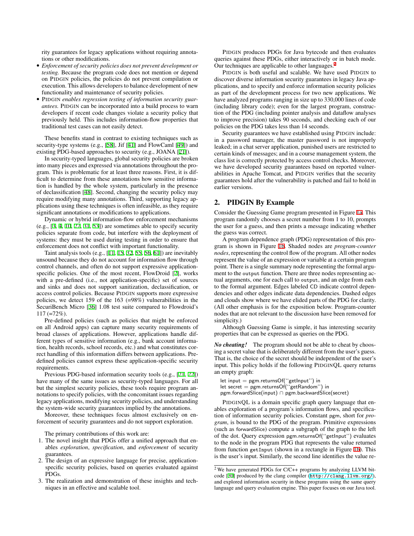rity guarantees for legacy applications without requiring annotations or other modifications.

- *• Enforcement of security policies does not prevent development or testing.* Because the program code does not mention or depend on PIDGIN policies, the policies do not prevent compilation or execution. This allows developers to balance development of new functionality and maintenance of security policies.
- *•* PIDGIN *enables regression testing of information security guarantees.* PIDGIN can be incorporated into a build process to warn developers if recent code changes violate a security policy that previously held. This includes information-flow properties that traditional test cases can not easily detect.

These benefits stand in contrast to existing techniques such as security-type systems (e.g., [\[58](#page-11-2)], Jif [\[41](#page-11-3)] and FlowCaml [[49\]](#page-11-4)) and existing PDG-based approaches to security (e.g., JOANA [[21\]](#page-11-5)).

In security-typed languages, global security policies are broken into many pieces and expressed via annotations throughout the program. This is problematic for at least three reasons. First, it is difficult to determine from these annotations how sensitive information is handled by the whole system, particularly in the presence of declassification [[48\]](#page-11-6). Second, changing the security policy may require modifying many annotations. Third, supporting legacy applications using these techniques is often infeasible, as they require significant annotations or modifications to applications.

Dynamic or hybrid information-flow enforcement mechanisms  $(e.g., [3, 4, 10, 27, 31, 53])$  $(e.g., [3, 4, 10, 27, 31, 53])$  $(e.g., [3, 4, 10, 27, 31, 53])$  $(e.g., [3, 4, 10, 27, 31, 53])$  $(e.g., [3, 4, 10, 27, 31, 53])$  $(e.g., [3, 4, 10, 27, 31, 53])$  $(e.g., [3, 4, 10, 27, 31, 53])$  $(e.g., [3, 4, 10, 27, 31, 53])$  $(e.g., [3, 4, 10, 27, 31, 53])$  $(e.g., [3, 4, 10, 27, 31, 53])$  $(e.g., [3, 4, 10, 27, 31, 53])$  $(e.g., [3, 4, 10, 27, 31, 53])$  $(e.g., [3, 4, 10, 27, 31, 53])$  are sometimes able to specify security policies separate from code, but interfere with the deployment of systems: they must be used during testing in order to ensure that enforcement does not conflict with important functionality.

Taint analysis tools (e.g., [\[11](#page-10-5), [15,](#page-10-6) [32](#page-11-10), [55](#page-11-11), [56,](#page-11-12) [61](#page-11-13)]) are inevitably unsound because they do not account for information flow through control channels, and often do not support expressive applicationspecific policies. One of the most recent, FlowDroid [[2](#page-10-7)], works with a pre-defined (i.e., not application-specific) set of sources and sinks and does not support sanitization, declassification, or access control policies. Because PIDGIN supports more expressive policies, we detect 159 of the 163 (=98%) vulnerabilities in the SecuriBench Micro [\[36](#page-11-14)] 1.08 test suite compared to Flowdroid's  $117 (=72\%)$ .

Pre-defined policies (such as policies that might be enforced on all Android apps) can capture many security requirements of broad classes of applications. However, applications handle different types of sensitive information (e.g., bank account information, health records, school records, etc.) and what constitutes correct handling of this information differs between applications. Predefined policies cannot express these application-specific security requirements.

Previous PDG-based information security tools (e.g., [\[21](#page-11-5), [22](#page-11-15)]) have many of the same issues as security-typed languages. For all but the simplest security policies, these tools require program annotations to specify policies, with the concomitant issues regarding legacy applications, modifying security policies, and understanding the system-wide security guarantees implied by the annotations.

Moreover, these techniques focus almost exclusively on enforcement of security guarantees and do not support exploration.

The primary contributions of this work are:

- 1. The novel insight that PDGs offer a unified approach that enables *exploration*, *specification*, and *enforcement* of security guarantees.
- 2. The design of an expressive language for precise, applicationspecific security policies, based on queries evaluated against PDGs.
- 3. The realization and demonstration of these insights and techniques in an effective and scalable tool.

PIDGIN produces PDGs for Java bytecode and then evaluates queries against these PDGs, either interactively or in batch mode. Our techniques are applicable to other languages.<sup>[2](#page-2-0)</sup>

PIDGIN is both useful and scalable. We have used PIDGIN to discover diverse information security guarantees in legacy Java applications, and to specify and enforce information security policies as part of the development process for two new applications. We have analyzed programs ranging in size up to 330,000 lines of code (including library code); even for the largest program, construction of the PDG (including pointer analysis and dataflow analyses to improve precision) takes 90 seconds, and checking each of our policies on the PDG takes less than 14 seconds.

Security guarantees we have established using PIDGIN include: in a password manager, the master password is not improperly leaked; in a chat server application, punished users are restricted to certain kinds of messages; and in a course management system, the class list is correctly protected by access control checks. Moreover, we have developed security guarantees based on reported vulnerabilities in Apache Tomcat, and PIDGIN verifies that the security guarantees hold after the vulnerability is patched and fail to hold in earlier versions.

## <span id="page-2-1"></span>2. PIDGIN By Example

Consider the Guessing Game program presented in Figure [1a.](#page-3-0) This program randomly chooses a secret number from 1 to 10, prompts the user for a guess, and then prints a message indicating whether the guess was correct.

A program dependence graph (PDG) representation of this program is shown in Figure [1b.](#page-3-0) Shaded nodes are *program-counter nodes*, representing the control flow of the program. All other nodes represent the value of an expression or variable at a certain program point. There is a single summary node representing the formal argument to the output function. There are three nodes representing actual arguments, one for each call to output, and an edge from each to the formal argument. Edges labeled CD indicate control dependencies and other edges indicate data dependencies. Dashed edges and clouds show where we have elided parts of the PDG for clarity. (All other emphasis is for the exposition below. Program-counter nodes that are not relevant to the discussion have been removed for simplicity.)

Although Guessing Game is simple, it has interesting security properties that can be expressed as queries on the PDG.

*No cheating!* The program should not be able to cheat by choosing a secret value that is deliberately different from the user's guess. That is, the choice of the secret should be independent of the user's input. This policy holds if the following PIDGINQL query returns an empty graph:

- let input  $=$  pgm.returnsOf("getInput") in
- let secret = pgm.returnsOf(''getRandom'') in
- pgm.forwardSlice(input) *∩* pgm.backwardSlice(secret)

PIDGINQL is a domain specific graph query language that enables exploration of a program's information flows, and specification of information security policies. Constant pgm, short for *program*, is bound to the PDG of the program. Primitive expressions (such as forwardSlice) compute a subgraph of the graph to the left of the dot. Query expression pgm.returnsOf(''getInput'') evaluates to the node in the program PDG that represents the value returned from function getInput (shown in a rectangle in Figure [1b](#page-3-0)). This is the user's input. Similarly, the second line identifies the value re-

<span id="page-2-0"></span><sup>2</sup> We have generated PDGs for C/C++ programs by analyzing LLVM bitcode [\[30](#page-11-16)] produced by the clang compiler ([http://clang.llvm.org/](http://clang. llvm.org/)), and explored information security in these programs using the same query language and query evaluation engine. This paper focuses on our Java tool.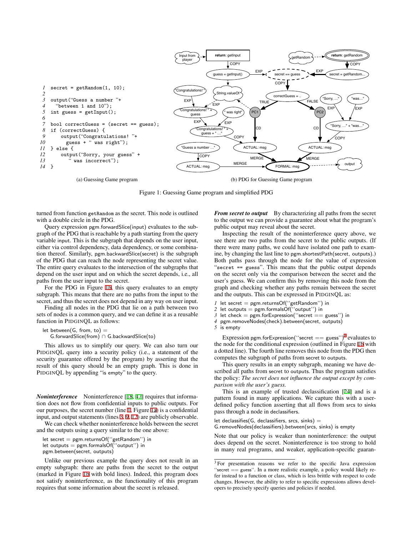<span id="page-3-2"></span><span id="page-3-1"></span><span id="page-3-0"></span>

(b) PDG for Guessing Game program

Figure 1: Guessing Game program and simplified PDG

<span id="page-3-4"></span><span id="page-3-3"></span>turned from function getRandom as the secret. This node is outlined with a double circle in the PDG.

Query expression pgm.forwardSlice(input) evaluates to the subgraph of the PDG that is reachable by a path starting from the query variable input. This is the subgraph that depends on the user input, either via control dependency, data dependency, or some combination thereof. Similarly, pgm.backwardSlice(secret) is the subgraph of the PDG that can reach the node representing the secret value. The entire query evaluates to the intersection of the subgraphs that depend on the user input and on which the secret depends, i.e., all paths from the user input to the secret.

For the PDG in Figure [1b,](#page-3-0) this query evaluates to an empty subgraph. This means that there are no paths from the input to the secret, and thus the secret does not depend in any way on user input.

Finding all nodes in the PDG that lie on a path between two sets of nodes is a common query, and we can define it as a reusable function in PIDGINQL as follows:

```
let between(G, from, to) =G.forwardSlice(from) ∩ G.backwardSlice(to)
```
This allows us to simplify our query. We can also turn our PIDGINQL query into a security policy (i.e., a statement of the security guarantee offered by the program) by asserting that the result of this query should be an empty graph. This is done in PIDGINQL by appending "is empty" to the query.

*Noninterference* Noninterference [\[18](#page-10-1), [47\]](#page-11-17) requires that information does not flow from confidential inputs to public outputs. For our purposes, the secret number (line [1](#page-3-1), Figure [1a](#page-3-0)) is a confidential input, and output statements (lines [3,](#page-3-2) [9](#page-3-3), [12](#page-3-4)) are publicly observable.

We can check whether noninterference holds between the secret and the outputs using a query similar to the one above:

let secret = pgm.returnsOf(''getRandom'') in let outputs = pgm.formals $\tilde{Of}$ <sup>("</sup>output") in pgm.between(secret, outputs)

Unlike our previous example the query does not result in an empty subgraph: there are paths from the secret to the output (marked in Figure [1b](#page-3-0) with bold lines). Indeed, this program does not satisfy noninterference, as the functionality of this program requires that some information about the secret is released.

*From secret to output* By characterizing all paths from the secret to the output we can provide a guarantee about what the program's public output may reveal about the secret.

Inspecting the result of the noninterference query above, we see there are two paths from the secret to the public outputs. (If there were many paths, we could have isolated one path to examine, by changing the last line to pgm.shortestPath(secret, outputs).) Both paths pass through the node for the value of expression "secret == guess". This means that the public output depends on the secret only via the comparison between the secret and the user's guess. We can confirm this by removing this node from the graph and checking whether any paths remain between the secret and the outputs. This can be expressed in PIDGINQL as:

- *1* let secret = pgm.returnsOf("getRandom") in
- 2 let outputs =  $pgm.formalsOf('output')$  in
- $3$  let check = pgm.forExpression("secret == guess") in
- *4* pgm.removeNodes(check).between(secret, outputs)

```
5 is empty
```
Expression pgm.forExpression(''secret == guess'')<sup>[3](#page-3-5)</sup> evaluates to the node for the conditional expression (outlined in Figure [1b](#page-3-0) with a dotted line). The fourth line removes this node from the PDG then computes the subgraph of paths from secret to outputs.

This query results in an empty subgraph, meaning we have described all paths from secret to outputs. Thus the program satisfies the policy: *The secret does not influence the output except by comparison with the user's guess.*

This is an example of trusted declassification [[24\]](#page-11-0) and is a pattern found in many applications. We capture this with a userdefined policy function asserting that all flows from srcs to sinks pass through a node in declassifiers.

let declassifies(G, declassifiers, srcs, sinks)  $=$ G.removeNodes(declassifiers).between(srcs, sinks) is empty

Note that our policy is weaker than noninterference: the output does depend on the secret. Noninterference is too strong to hold in many real programs, and weaker, application-specific guaran-

<span id="page-3-5"></span><sup>3</sup> For presentation reasons we refer to the specific Java expression "secret  $==$  guess". In a more realistic example, a policy would likely refer instead to a function or class, which is less brittle with respect to code changes. However, the ability to refer to specific expressions allows developers to precisely specify queries and policies if needed.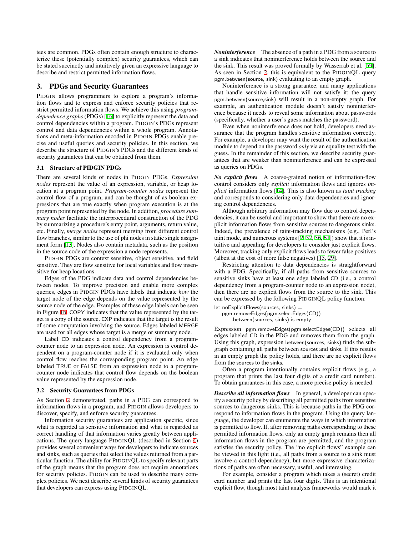tees are common. PDGs often contain enough structure to characterize these (potentially complex) security guarantees, which can be stated succinctly and intuitively given an expressive language to describe and restrict permitted information flows.

## <span id="page-4-0"></span>3. PDGs and Security Guarantees

PIDGIN allows programmers to explore a program's information flows and to express and enforce security policies that restrict permitted information flows. We achieve this using *programdependence graphs* (PDGs) [\[16](#page-10-0)] to explicitly represent the data and control dependencies within a program. PIDGIN's PDGs represent control and data dependencies within a whole program. Annotations and meta-information encoded in PIDGIN PDGs enable precise and useful queries and security policies. In this section, we describe the structure of PIDGIN's PDGs and the different kinds of security guarantees that can be obtained from them.

#### 3.1 Structure of PIDGIN PDGs

There are several kinds of nodes in PIDGIN PDGs. *Expression nodes* represent the value of an expression, variable, or heap location at a program point. *Program-counter nodes* represent the control flow of a program, and can be thought of as boolean expressions that are true exactly when program execution is at the program point represented by the node. In addition, *procedure summary nodes* facilitate the interprocedural construction of the PDG by summarizing a procedure's entry point, arguments, return value, etc. Finally, *merge nodes* represent merging from different control flow branches, similar to the use of phi nodes in static single assignment form [\[13](#page-10-8)]. Nodes also contain metadata, such as the position in the source code of the expression a node represents.

PIDGIN PDGs are context sensitive, object sensitive, and field sensitive. They are flow sensitive for local variables and flow insensitive for heap locations.

Edges of the PDG indicate data and control dependencies between nodes. To improve precision and enable more complex queries, edges in PIDGIN PDGs have labels that indicate *how* the target node of the edge depends on the value represented by the source node of the edge. Examples of these edge labels can be seen in Figure [1b](#page-3-0). COPY indicates that the value represented by the target is a copy of the source. EXP indicates that the target is the result of some computation involving the source. Edges labeled MERGE are used for all edges whose target is a merge or summary node.

Label CD indicates a control dependency from a programcounter node to an expression node. An expression is control dependent on a program-counter node if it is evaluated only when control flow reaches the corresponding program point. An edge labeled TRUE or FALSE from an expression node to a programcounter node indicates that control flow depends on the boolean value represented by the expression node.

#### <span id="page-4-1"></span>3.2 Security Guarantees from PDGs

As Section [2](#page-2-1) demonstrated, paths in a PDG can correspond to information flows in a program, and PIDGIN allows developers to discover, specify, and enforce security guarantees.

Information security guarantees are application specific, since what is regarded as sensitive information and what is regarded as correct handling of that information varies greatly between applications. The query language PIDGINQL (described in Section [4](#page-5-0)) provides several convenient ways for developers to indicate sources and sinks, such as queries that select the values returned from a particular function. The ability for PIDGINQL to specify relevant parts of the graph means that the program does not require annotations for security policies. PIDGIN can be used to describe many complex policies. We next describe several kinds of security guarantees that developers can express using PIDGINQL.

*Noninterference* The absence of a path in a PDG from a source to a sink indicates that noninterference holds between the source and the sink. This result was proved formally by Wasserrab et al. [[59\]](#page-11-18). As seen in Section [2,](#page-2-1) this is equivalent to the PIDGINQL query pgm.between(source, sink) evaluating to an empty graph.

Noninterference is a strong guarantee, and many applications that handle sensitive information will not satisfy it: the query pgm.between(source,sink) will result in a non-empty graph. For example, an authentication module doesn't satisfy noninterference because it needs to reveal some information about passwords (specifically, whether a user's guess matches the password).

Even when noninterference does not hold, developers need assurance that the program handles sensitive information correctly. For example, a developer may want the result of the authentication module to depend on the password *only* via an equality test with the guess. In the remainder of this section, we describe security guarantees that are weaker than noninterference and can be expressed as queries on PDGs.

*No explicit flows* A coarse-grained notion of information-flow control considers only *explicit* information flows and ignores *implicit* information flows [\[14](#page-10-9)]. This is also known as *taint tracking* and corresponds to considering only data dependencies and ignoring control dependencies.

Although arbitrary information may flow due to control dependencies, it can be useful and important to show that there are no explicit information flows from sensitive sources to dangerous sinks. Indeed, the prevalence of taint-tracking mechanisms (e.g., Perl's taint mode, and numerous systems [\[2,](#page-10-7) [32,](#page-11-10) [56,](#page-11-12) [61\]](#page-11-13)) show that it is intuitive and appealing for developers to consider just explicit flows. Moreover, tracking only explicit flows leads to fewer false positives (albeit at the cost of more false negatives) [[15,](#page-10-6) [29](#page-11-19)].

Restricting attention to data dependencies is straightforward with a PDG. Specifically, if all paths from sensitive sources to sensitive sinks have at least one edge labeled CD (i.e., a control dependency from a program-counter node to an expression node), then there are no explicit flows from the source to the sink. This can be expressed by the following PIDGINQL policy function:

let noExplicitFlows(sources, sinks)  $=$ pgm.removeEdges(pgm.selectEdges(CD)) .between(sources, sinks) is empty

Expression pgm.removeEdges(pgm.selectEdges(CD)) selects all edges labeled CD in the PDG and removes them from the graph. Using this graph, expression between(sources, sinks) finds the subgraph containing all paths between sources and sinks. If this results in an empty graph the policy holds, and there are no explicit flows from the sources to the sinks.

Often a program intentionally contains explicit flows (e.g., a program that prints the last four digits of a credit card number). To obtain guarantees in this case, a more precise policy is needed.

*Describe all information flows* In general, a developer can specify a security policy by describing all permitted paths from sensitive sources to dangerous sinks. This is because paths in the PDG correspond to information flows in the program. Using the query language, the developer can enumerate the ways in which information is permitted to flow. If, after removing paths corresponding to these permitted information flows, only an empty graph remains then all information flows in the program are permitted, and the program satisfies the security policy. The "no explicit flows" example can be viewed in this light (i.e., all paths from a source to a sink must involve a control dependency), but more expressive characterizations of paths are often necessary, useful, and interesting.

For example, consider a program which takes a (secret) credit card number and prints the last four digits. This is an intentional explicit flow, though most taint analysis frameworks would mark it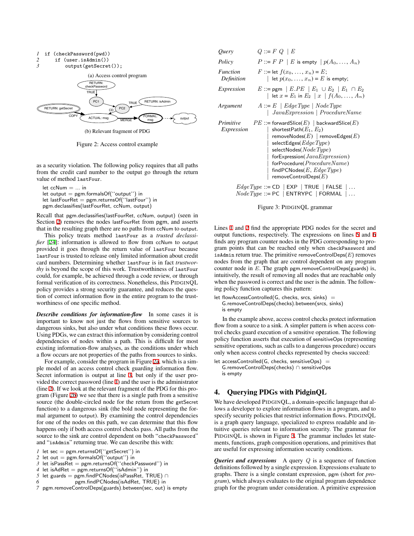<span id="page-5-4"></span><span id="page-5-3"></span><span id="page-5-2"></span><span id="page-5-1"></span>

(b) Relevant fragment of PDG

Figure 2: Access control example

as a security violation. The following policy requires that all paths from the credit card number to the output go through the return value of method lastFour.

 $let$  ccNum  $=$  ... in let output = pgm.formalsOf(''output'') in let lastFourRet = pgm.returnsOf(''lastFour'') in pgm.declassifies(lastFourRet, ccNum, output)

Recall that pgm.declassifies(lastFourRet, ccNum, output) (seen in Section [2\)](#page-2-1) removes the nodes lastFourRet from pgm, and asserts that in the resulting graph there are no paths from ccNum to output.

This policy treats method lastFour as a *trusted declassifier* [[24\]](#page-11-0): information is allowed to flow from ccNum to output provided it goes through the return value of lastFour because lastFour is trusted to release only limited information about credit card numbers. Determining whether lastFour is in fact *trustworthy* is beyond the scope of this work. Trustworthiness of lastFour could, for example, be achieved through a code review, or through formal verification of its correctness. Nonetheless, this PIDGINQL policy provides a strong security guarantee, and reduces the question of correct information flow in the entire program to the trustworthiness of one specific method.

*Describe conditions for information-flow* In some cases it is important to know not just the flows from sensitive sources to dangerous sinks, but also under what conditions these flows occur. Using PDGs, we can extract this information by considering control dependencies of nodes within a path. This is difficult for most existing information-flow analyses, as the conditions under which a flow occurs are not properties of the paths from sources to sinks.

For example, consider the program in Figure [2a](#page-5-1), which is a simple model of an access control check guarding information flow. Secret information is output at line [3,](#page-5-2) but only if the user provided the correct password (line [1](#page-5-3)) and the user is the administrator (line [2\)](#page-5-4). If we look at the relevant fragment of the PDG for this program (Figure [2b](#page-5-1)) we see that there is a single path from a sensitive source (the double-circled node for the return from the getSecret function) to a dangerous sink (the bold node representing the formal argument to output). By examining the control dependencies for one of the nodes on this path, we can determine that this flow happens only if both access control checks pass. All paths from the source to the sink are control dependent on both "checkPassword" and "isAdmin" returning true. We can describe this with:

```
1 let sec = pgm.returnsOf("getSecret") in
```

```
2 let out = pgm.formalsOf("output") in
```

```
3 let isPassRet = pgm.returnsOf(''checkPassword'') in
```

```
4 let isAdRet = pgm.returnsOf(''isAdmin'') in
```

```
5 let guards = pgm.findPCNodes(isPassRet, TRUE) ∩
```

```
pgm.findPCNodes(isAdRet, TRUE) in
```

```
7 pgm.removeControlDeps(guards).between(sec, out) is empty
```
<span id="page-5-9"></span>

| Query                         | $Q ::= F \ Q \mid E$                                                                                                                                                                                                                                                                                       |
|-------------------------------|------------------------------------------------------------------------------------------------------------------------------------------------------------------------------------------------------------------------------------------------------------------------------------------------------------|
| Policy                        | $P ::= F P   E$ is empty $  p(A_0, , A_n)$                                                                                                                                                                                                                                                                 |
| <i>Function</i><br>Definition | $F ::=$ let $f(x_0, , x_n) = E$ ;<br>let $p(x_0, \ldots, x_n) = E$ is empty;                                                                                                                                                                                                                               |
| Expression                    | $E ::=$ pgm $ E.PE \mid E_1 \cup E_2 \mid E_1 \cap E_2$<br>l let $x = E_1$ in $E_2   x   f(A_0, , A_n)$                                                                                                                                                                                                    |
| Argument                      | $A ::= E \mid EdgeType \mid NodeType$<br>$\mid$ JavaExpression $\mid$ ProcedureName                                                                                                                                                                                                                        |
| Primitive<br>Expression       | $PE ::=$ forwardSlice(E)   backwardSlice(E)<br>shortestPath $(E_1, E_2)$<br>removeNodes $(E)$   removeEdges $(E)$<br>selectEdges( $EdgeType$ )<br>selectNodes( $NodeType$ )<br>for Expression (Java Expression)<br>forProcedure(ProcedureName)<br>find PCN odes $(E, EdgeType)$<br>removeControlDeps $(E)$ |
|                               | $EdgeType ::= CD \mid EXP \mid TRUE \mid FALSE \mid $<br>$NodeType ::= PC   ENTRYPC   FORMAL  $                                                                                                                                                                                                            |



Lines [1](#page-5-5) and [2](#page-5-6) find the appropriate PDG nodes for the secret and output functions, respectively. The expressions on lines [5](#page-5-7) and [6](#page-5-8) finds any program counter nodes in the PDG corresponding to program points that can be reached only when checkPassword and isAdmin return true. The primitive removeControlDeps(*E*) removes nodes from the graph that are control dependent on any program counter node in *E*. The graph pgm.removeControlDeps(guards) is, intuitively, the result of removing all nodes that are reachable only when the password is correct and the user is the admin. The following policy function captures this pattern:

```
let flowAccessControlled(G, checks, srcs, sinks) =
   G.removeControlDeps(checks).between(srcs, sinks)
   is empty
```
In the example above, access control checks protect information flow from a source to a sink. A simpler pattern is when access control checks guard execution of a sensitive operation. The following policy function asserts that execution of sensitiveOps (representing sensitive operations, such as calls to a dangerous procedure) occurs only when access control checks represented by checks succeed:

```
let accessControlled(G, checks, sensitiveOps) =
   G.removeControlDeps(checks) ∩ sensitiveOps
   is empty
```
# <span id="page-5-0"></span>4. Querying PDGs with PidginQL

We have developed PIDGINQL, a domain-specific language that allows a developer to explore information flows in a program, and to specify security policies that restrict information flows. PIDGINQL is a graph query language, specialized to express readable and intuitive queries relevant to information security. The grammar for PIDGINQL is shown in Figure [3.](#page-5-9) The grammar includes let statements, functions, graph composition operations, and primitives that are useful for expressing information security conditions.

*Queries and expressions* A query *Q* is a sequence of function definitions followed by a single expression. Expressions evaluate to graphs. There is a single constant expression, pgm (short for *program*), which always evaluates to the original program dependence graph for the program under consideration. A primitive expression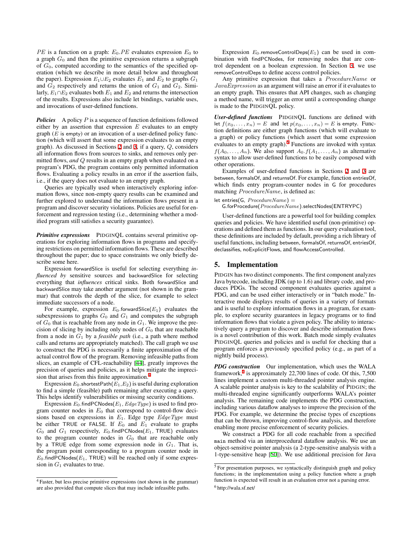*PE* is a function on a graph: *E*0.*PE* evaluates expression *E*<sup>0</sup> to a graph *G*<sup>0</sup> and then the primitive expression returns a subgraph of *G*0, computed according to the semantics of the specified operation (which we describe in more detail below and throughout the paper). Expression  $E_1 \cup E_2$  evaluates  $E_1$  and  $E_2$  to graphs  $G_1$ and  $G_2$  respectively and returns the union of  $G_1$  and  $G_2$ . Similarly,  $E_1 \cap E_2$  evaluates both  $E_1$  and  $E_2$  and returns the intersection of the results. Expressions also include let bindings, variable uses, and invocations of user-defined functions.

*Policies* A policy *P* is a sequence of function definitions followed either by an assertion that expression *E* evaluates to an empty graph (*E* is empty) or an invocation of a user-defined policy function (which will assert that some expression evaluates to an empty graph). As discussed in Sections [2](#page-2-1) and [3](#page-4-0), if a query, *Q*, considers all information flows from sources to sinks, and removes only permitted flows, *and Q* results in an empty graph when evaluated on a program's PDG, the program contains only permitted information flows. Evaluating a policy results in an error if the assertion fails, i.e., if the query does not evaluate to an empty graph.

Queries are typically used when interactively exploring information flows, since non-empty query results can be examined and further explored to understand the information flows present in a program and discover security violations. Policies are useful for enforcement and regression testing (i.e., determining whether a modified program still satisfies a security guarantee).

*Primitive expressions* PIDGINQL contains several primitive operations for exploring information flows in programs and specifying restrictions on permitted information flows. These are described throughout the paper; due to space constraints we only briefly describe some here.

Expression forwardSlice is useful for selecting everything *influenced by* sensitive sources and backwardSlice for selecting everything that *influences* critical sinks. Both forwardSlice and backwardSlice may take another argument (not shown in the grammar) that controls the depth of the slice, for example to select immediate successors of a node.

For example, expression *E*0.forwardSlice(*E*1) evaluates the subexpressions to graphs  $G_0$  and  $G_1$  and computes the subgraph of  $G_0$  that is reachable from any node in  $G_1$ . We improve the precision of slicing by including only nodes of  $G_0$  that are reachable from a node in *G*<sup>1</sup> by a *feasible path* (i.e., a path where method calls and returns are appropriately matched). The call graph we use to construct the PDG is necessarily a finite approximation of the actual control flow of the program. Removing infeasible paths from slices, an example of CFL-reachability [\[44](#page-11-20)], greatly improves the precision of queries and policies, as it helps mitigate the imprecision that arises from this finite approximation.[4](#page-6-0)

Expression  $E_0$  shortestPath $(E_1, E_2)$  is useful during exploration to find a simple (feasible) path remaining after executing a query. This helps identify vulnerabilities or missing security conditions.

Expression *E*0.findPCNodes(*E*1, *EdgeType*) is used to find program counter nodes in *E*<sup>0</sup> that correspond to control-flow decisions based on expressions in *E*1. Edge type *EdgeType* must be either TRUE or FALSE. If  $E_0$  and  $E_1$  evaluate to graphs  $G_0$  and  $G_1$  respectively,  $E_0$ .findPCNodes( $E_1$ , TRUE) evaluates to the program counter nodes in  $G_0$  that are reachable only by a TRUE edge from some expression node in *G*1. That is, the program point corresponding to a program counter node in  $E_0$ .findPCNodes( $E_1$ , TRUE) will be reached only if some expression in  $G_1$  evaluates to true.

Expression  $E_0$  removeControlDeps( $E_1$ ) can be used in combination with findPCNodes, for removing nodes that are control dependent on a boolean expression. In Section [3,](#page-4-0) we use removeControlDeps to define access control policies.

Any primitive expression that takes a *ProcedureName* or *JavaExpression* as an argument will raise an error if it evaluates to an empty graph. This ensures that API changes, such as changing a method name, will trigger an error until a corresponding change is made to the PIDGINQL policy.

*User-defined functions* PIDGINQL functions are defined with let  $f(x_0, \ldots, x_n) = E$  and let  $p(x_0, \ldots, x_n) = E$  is empty. Function definitions are either graph functions (which will evaluate to a graph) or policy functions (which assert that some expression evaluates to an empty graph).<sup>[5](#page-6-1)</sup> Functions are invoked with syntax  $f(A_0, \ldots, A_n)$ . We also support  $A_0. f(A_1, \ldots, A_n)$  as alternative syntax to allow user-defined functions to be easily composed with other operations.

Examples of user-defined functions in Sections [2](#page-2-1) and [3](#page-4-0) are between, formalsOf, and returnsOf. For example, function entriesOf, which finds entry program-counter nodes in G for procedures matching *ProcedureName*, is defined as:

#### let entries(G, *ProcedureName*) =

G.forProcedure(*ProcedureName*).selectNodes(ENTRYPC)

User-defined functions are a powerful tool for building complex queries and policies. We have identified useful (non-primitive) operations and defined them as functions. In our query evaluation tool, these definitions are included by default, providing a rich library of useful functions, including between, formalsOf, returnsOf, entriesOf, declassifies, noExplicitFlows, and flowAccessControlled.

## 5. Implementation

PIDGIN has two distinct components. The first component analyzes Java bytecode, including JDK (up to 1.6) and library code, and produces PDGs. The second component evaluates queries against a PDG, and can be used either interactively or in "batch mode." Interactive mode displays results of queries in a variety of formats and is useful to explore information flows in a program, for example, to explore security guarantees in legacy programs or to find information flows that violate a given policy. The ability to interactively query a program to discover and describe information flows is a novel contribution of this work. Batch mode simply evaluates PIDGINQL queries and policies and is useful for checking that a program enforces a previously specified policy (e.g., as part of a nightly build process).

*PDG construction* Our implementation, which uses the WALA framework,<sup>[6](#page-6-2)</sup> is approximately 22,700 lines of code. Of this, 7,500 lines implement a custom multi-threaded pointer analysis engine. A scalable pointer analysis is key to the scalability of PIDGIN; the multi-threaded engine significantly outperforms WALA's pointer analysis. The remaining code implements the PDG construction, including various dataflow analyses to improve the precision of the PDG. For example, we determine the precise types of exceptions that can be thrown, improving control-flow analysis, and therefore enabling more precise enforcement of security policies.

We construct a PDG for all code reachable from a specified main method via an interprocedural dataflow analysis. We use an object-sensitive pointer analysis (a 2-type-sensitive analysis with a 1-type-sensitive heap [[50](#page-11-21)]). We use additional precision for Java

<span id="page-6-0"></span><sup>4</sup> Faster, but less precise primitive expressions (not shown in the grammar) are also provided that compute slices that may include infeasible paths.

<span id="page-6-2"></span><span id="page-6-1"></span><sup>5</sup> For presentation purposes, we syntactically distinguish graph and policy functions; in the implementation using a policy function where a graph function is expected will result in an evaluation error not a parsing error. <sup>6</sup> http://wala.sf.net/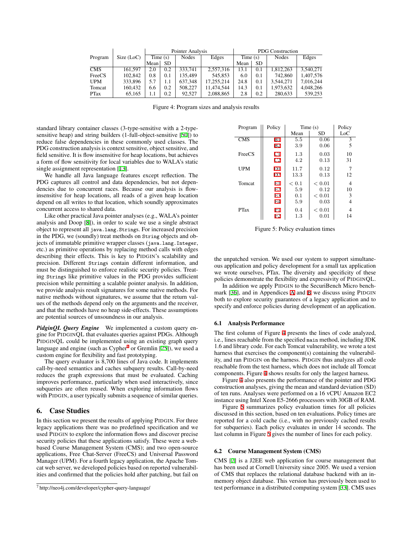<span id="page-7-1"></span>

|            | Pointer Analysis |            |           |         | <b>PDG</b> Construction |            |           |           |           |
|------------|------------------|------------|-----------|---------|-------------------------|------------|-----------|-----------|-----------|
| Program    | Size (LoC)       | Time $(s)$ |           | Nodes   | Edges                   | Time $(s)$ |           | Nodes     | Edges     |
|            |                  | Mean       | <b>SD</b> |         |                         | Mean       | <b>SD</b> |           |           |
| <b>CMS</b> | 161.597          | 2.0        | 0.2       | 333.741 | 2,557,316               | 13.1       | 0.1       | 1.812.263 | 3.540.271 |
| FreeCS     | 102,842          | 0.8        | 0.1       | 135.489 | 545,853                 | 6.0        | 0.1       | 742,860   | 1,407,576 |
| <b>UPM</b> | 333,896          | 5.7        | 1.1       | 637.348 | 17,255,214              | 24.8       | 0.1       | 3.544.271 | 7,016,244 |
| Tomcat     | 160.432          | 6.6        | 0.2       | 508,227 | 11.474.544              | 14.3       | 0.1       | 1,973,632 | 4,048,266 |
| PTax       | 65.165           | 1.1        | 0.2       | 92.527  | 2,088,865               | 2.8        | 0.2       | 280.633   | 539.253   |

Figure 4: Program sizes and analysis results

standard library container classes (3-type-sensitive with a 2-typesensitive heap) and string builders (1-full-object-sensitive [\[50](#page-11-21)]) to reduce false dependencies in these commonly used classes. The PDG construction analysis is context sensitive, object sensitive, and field sensitive. It is flow insensitive for heap locations, but achieves a form of flow sensitivity for local variables due to WALA's static single assignment representation [\[13](#page-10-8)].

We handle all Java language features except reflection. The PDG captures all control and data dependencies, but not dependencies due to concurrent races. Because our analysis is flowinsensitive for heap locations, all reads of a given heap location depend on all writes to that location, which soundly approximates concurrent access to shared data.

Like other practical Java pointer analyses (e.g., WALA's pointer analysis and Doop [[8](#page-10-10)]), in order to scale we use a single abstract object to represent all java.lang.Strings. For increased precision in the PDG, we (soundly) treat methods on String objects and objects of immutable primitive wrapper classes (java.lang.Integer, etc.) as primitive operations by replacing method calls with edges describing their effects. This is key to PIDGIN's scalability and precision. Different Strings contain different information, and must be distinguished to enforce realistic security policies. Treating Strings like primitive values in the PDG provides sufficient precision while permitting a scalable pointer analysis. In addition, we provide analysis result signatures for some native methods. For native methods without signatures, we assume that the return values of the methods depend only on the arguments and the receiver, and that the methods have no heap side-effects. These assumptions are potential sources of unsoundness in our analysis.

*PidginQL Query Engine* We implemented a custom query engine for PIDGINQL that evaluates queries against PDGs. Although PIDGINQL could be implemented using an existing graph query language and engine (such as Cypher<sup>[7](#page-7-0)</sup> or Gremlin [\[25](#page-11-22)]), we used a custom engine for flexibility and fast prototyping.

The query evaluator is 8,700 lines of Java code. It implements call-by-need semantics and caches subquery results. Call-by-need reduces the graph expressions that must be evaluated. Caching improves performance, particularly when used interactively, since subqueries are often reused. When exploring information flows with PIDGIN, a user typically submits a sequence of similar queries.

## <span id="page-7-3"></span>6. Case Studies

In this section we present the results of applying PIDGIN. For three legacy applications there was no predefined specification and we used PIDGIN to explore the information flows and discover precise security policies that these applications satisfy. These were a webbased Course Management System (CMS); and two open-source applications, Free Chat-Server (FreeCS) and Universal Password Manager (UPM). For a fourth legacy application, the Apache Tomcat web server, we developed policies based on reported vulnerabilities and confirmed that the policies hold after patching, but fail on

<span id="page-7-2"></span>

| Program                 | Policy          | Time(s) | Policy     |                |
|-------------------------|-----------------|---------|------------|----------------|
|                         |                 | Mean    | SD         | LoC            |
| $\overline{\text{CMS}}$ | $\overline{B1}$ | 5.5     | 0.06       | 3              |
|                         | B <sub>2</sub>  | 3.9     | 0.06       | 5              |
| FreeCS                  | C <sub>1</sub>  | 1.3     | 0.03       | 10             |
|                         | C <sub>2</sub>  | 4.2     | 0.13       | 31             |
| UPM                     | D <sub>1</sub>  | 11.7    | 0.12       | 7              |
|                         | D2              | 13.3    | 0.13       | 12             |
| Tomcat                  | E1              | < 0.1   | ${}< 0.01$ | 4              |
|                         | E2              | 5.9     | 0.12       | 10             |
|                         | E <sub>3</sub>  | 0.1     | ${}< 0.01$ | 3              |
|                         | E <sub>4</sub>  | 5.9     | 0.03       | $\overline{4}$ |
| PTax                    | F1              | 0.4     | ${}< 0.01$ | 4              |
|                         | F <sub>2</sub>  | $1.3\,$ | 0.01       | 14             |

Figure 5: Policy evaluation times

the unpatched version. We used our system to support simultaneous application and policy development for a small tax application we wrote ourselves, PTax. The diversity and specificity of these policies demonstrate the flexibility and expressivity of PIDGINQL.

In addition we apply PIDGIN to the SecuriBench Micro benchmark [\[36](#page-11-14)], and in Appendices [A](#page-12-0) and [B](#page-12-1) we discuss using PIDGIN both to explore security guarantees of a legacy application and to specify and enforce policies during development of an application.

#### 6.1 Analysis Performance

The first column of Figure [4](#page-7-1) presents the lines of code analyzed, i.e., lines reachable from the specified main method, including JDK 1.6 and library code. For each Tomcat vulnerability, we wrote a test harness that exercises the component(s) containing the vulnerability, and ran PIDGIN on the harness. PIDGIN thus analyzes all code reachable from the test harness, which does not include all Tomcat components. Figure [4](#page-7-1) shows results for only the largest harness.

Figure [4](#page-7-1) also presents the performance of the pointer and PDG construction analyses, giving the mean and standard deviation (SD) of ten runs. Analyses were performed on a 16 vCPU Amazon EC2 instance using Intel Xeon E5-2666 processors with 30GB of RAM.

Figure [5](#page-7-2) summarizes policy evaluation times for all policies discussed in this section, based on ten evaluations. Policy times are reported for a cold cache (i.e., with no previously cached results for subqueries). Each policy evaluates in under 14 seconds. The last column in Figure [5](#page-7-2) gives the number of lines for each policy.

#### 6.2 Course Management System (CMS)

CMS [\[7\]](#page-10-11) is a J2EE web application for course management that has been used at Cornell University since 2005. We used a version of CMS that replaces the relational database backend with an inmemory object database. This version has previously been used to test performance in a distributed computing system [[33\]](#page-11-23). CMS uses

<span id="page-7-0"></span><sup>7</sup> http://neo4j.com/developer/cypher-query-language/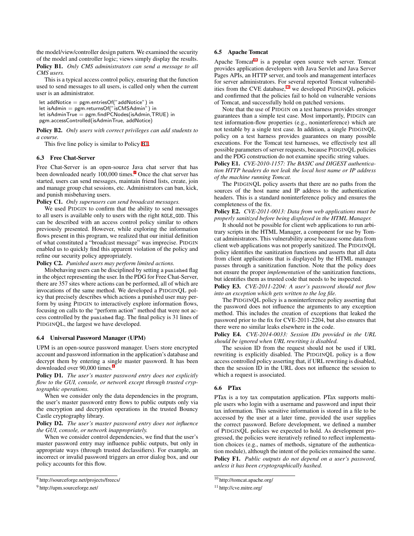<span id="page-8-0"></span>the model/view/controller design pattern. We examined the security of the model and controller logic; views simply display the results. Policy B1. *Only CMS administrators can send a message to all CMS users.*

This is a typical access control policy, ensuring that the function used to send messages to all users, is called only when the current user is an administrator.

let addNotice = pgm.entriesOf("addNotice") in let isAdmin = pgm.returnsOf("isCMSAdmin") in let isAdminTrue = pgm.findPCNodes(isAdmin,TRUE) in pgm.accessControlled(isAdminTrue, addNotice)

<span id="page-8-1"></span>Policy B2. *Only users with correct privileges can add students to a course.*

This five line policy is similar to Policy [B1.](#page-8-0)

#### 6.3 Free Chat-Server

Free Chat-Server is an open-source Java chat server that has been downloaded nearly 100,000 times.<sup>[8](#page-8-11)</sup> Once the chat server has started, users can send messages, maintain friend lists, create, join and manage group chat sessions, etc. Administrators can ban, kick, and punish misbehaving users.

#### <span id="page-8-2"></span>Policy C1. *Only superusers can send broadcast messages.*

We used PIDGIN to confirm that the ability to send messages to all users is available only to users with the right ROLE\_GOD. This can be described with an access control policy similar to others previously presented. However, while exploring the information flows present in this program, we realized that our initial definition of what constituted a "broadcast message" was imprecise. PIDGIN enabled us to quickly find this apparent violation of the policy and refine our security policy appropriately.

<span id="page-8-3"></span>Policy C2. *Punished users may perform limited actions.*

Misbehaving users can be disciplined by setting a punished flag in the object representing the user. In the PDG for Free Chat-Server, there are 357 sites where actions can be performed, all of which are invocations of the same method. We developed a PIDGINQL policy that precisely describes which actions a punished user may perform by using PIDGIN to interactively explore information flows, focusing on calls to the "perform action" method that were not access controlled by the punished flag. The final policy is 31 lines of PIDGINQL, the largest we have developed.

#### 6.4 Universal Password Manager (UPM)

UPM is an open-source password manager. Users store encrypted account and password information in the application's database and decrypt them by entering a single master password. It has been downloaded over [9](#page-8-12)0,000 times.<sup>9</sup>

<span id="page-8-4"></span>Policy D1. *The user's master password entry does not explicitly flow to the GUI, console, or network except through trusted cryptographic operations.*

When we consider only the data dependencies in the program, the user's master password entry flows to public outputs only via the encryption and decryption operations in the trusted Bouncy Castle cryptography library.

<span id="page-8-5"></span>Policy D2. *The user's master password entry does not influence the GUI, console, or network inappropriately.*

When we consider control dependencies, we find that the user's master password entry may influence public outputs, but only in appropriate ways (through trusted declassifiers). For example, an incorrect or invalid password triggers an error dialog box, and our policy accounts for this flow.

#### 6.5 Apache Tomcat

Apache Tomcat<sup>[10](#page-8-13)</sup> is a popular open source web server. Tomcat provides application developers with Java Servlet and Java Server Pages APIs, an HTTP server, and tools and management interfaces for server administrators. For several reported Tomcat vulnerabil-ities from the CVE database,<sup>[11](#page-8-14)</sup> we developed PIDGINQL policies and confirmed that the policies fail to hold on vulnerable versions of Tomcat, and successfully hold on patched versions.

Note that the use of PIDGIN on a test harness provides stronger guarantees than a simple test case. Most importantly, PIDGIN can test information-flow properties (e.g., noninterference) which are not testable by a single test case. In addition, a single PIDGINQL policy on a test harness provides guarantees on many possible executions. For the Tomcat test harnesses, we effectively test all possible parameters of server requests, because PIDGINQL policies and the PDG construction do not examine specific string values.

<span id="page-8-6"></span>Policy E1. *CVE-2010-1157: The BASIC and DIGEST authentication HTTP headers do not leak the local host name or IP address of the machine running Tomcat.*

The PIDGINQL policy asserts that there are no paths from the sources of the host name and IP address to the authentication headers. This is a standard noninterference policy and ensures the completeness of the fix.

<span id="page-8-7"></span>Policy E2. *CVE-2011-0013: Data from web applications must be properly sanitized before being displayed in the HTML Manager.*

It should not be possible for client web applications to run arbitrary scripts in the HTML Manager, a component for use by Tomcat administrators. This vulnerability arose because some data from client web applications was not properly sanitized. The PIDGINQL policy identifies the sanitization functions and asserts that all data from client applications that is displayed by the HTML manager passes through a sanitization function. Note that the policy does not ensure the proper *implementation* of the sanitization functions, but identifies them as trusted code that needs to be inspected.

<span id="page-8-8"></span>Policy E3. *CVE-2011-2204: A user's password should not flow into an exception which gets written to the log file.*

The PIDGINQL policy is a noninterference policy asserting that the password does not influence the arguments to any exception method. This includes the creation of exceptions that leaked the password prior to the fix for CVE-2011-2204, but also ensures that there were no similar leaks elsewhere in the code.

<span id="page-8-9"></span>Policy E4. *CVE-2014-0033: Session IDs provided in the URL should be ignored when URL rewriting is disabled.*

The session ID from the request should not be used if URL rewriting is explicitly disabled. The PIDGINQL policy is a flow access controlled policy asserting that, if URL rewriting is disabled, then the session ID in the URL does not influence the session to which a request is associated.

### 6.6 PTax

PTax is a toy tax computation application. PTax supports multiple users who login with a username and password and input their tax information. This sensitive information is stored in a file to be accessed by the user at a later time, provided the user supplies the correct password. Before development, we defined a number of PIDGINQL policies we expected to hold. As development progressed, the policies were iteratively refined to reflect implementation choices (e.g., names of methods, signature of the authentication module), although the intent of the policies remained the same. Policy F1. *Public outputs do not depend on a user's password, unless it has been cryptographically hashed.*

<span id="page-8-11"></span><sup>8</sup> http://sourceforge.net/projects/freecs/

<span id="page-8-12"></span><sup>9</sup> http://upm.sourceforge.net/

<span id="page-8-13"></span><span id="page-8-10"></span> $10$  http://tomcat.apache.org/

<span id="page-8-14"></span><sup>11</sup> http://cve.mitre.org/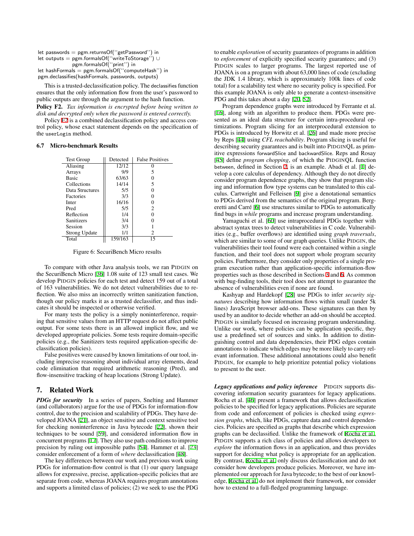```
let passwords = pgm.returnsOf(''getPassword'') in
let outputs = pgm.formalsOf(''writeToStorage'') ∪
              pgm.formalsOf(''print'') in
let hashFormals = pgm.formalsOf('computethash'') in
pgm.declassifies(hashFormals, passwords, outputs)
```
This is a trusted-declassification policy. The declassifies function ensures that the only information flow from the user's password to public outputs are through the argument to the hash function. Policy F2. *Tax information is encrypted before being written to disk and decrypted only when the password is entered correctly.*

<span id="page-9-0"></span>Policy [F2](#page-9-0) is a combined declassification policy and access control policy, whose exact statement depends on the specification of the userLogin method.

#### 6.7 Micro-benchmark Results

| <b>Test Group</b>    | Detected | <b>False Positives</b> |
|----------------------|----------|------------------------|
| Aliasing             | 12/12    |                        |
| Arrays               | 9/9      | 5                      |
| Basic                | 63/63    |                        |
| Collections          | 14/14    | 5                      |
| Data Structures      | 5/5      |                        |
| Factories            | 3/3      |                        |
| Inter                | 16/16    |                        |
| Pred                 | 5/5      | 2                      |
| Reflection           | 1/4      |                        |
| Sanitizers           | 3/4      |                        |
| Session              | 3/3      |                        |
| <b>Strong Update</b> | 1/1      | 2                      |
| Total                | 159/163  | 15                     |

#### Figure 6: SecuriBench Micro results

To compare with other Java analysis tools, we ran PIDGIN on the SecuriBench Micro [\[36](#page-11-14)] 1.08 suite of 123 small test cases. We develop PIDGIN policies for each test and detect 159 out of a total of 163 vulnerabilities. We do not detect vulnerabilities due to reflection. We also miss an incorrectly written sanitization function, though our policy marks it as a trusted declassifier, and thus indicates it should be inspected or otherwise verified.

For many tests the policy is a simply noninterference, requiring that sensitive values from an HTTP request do not affect public output. For some tests there is an allowed implicit flow, and we developed appropriate policies. Some tests require domain-specific policies (e.g., the Sanitizers tests required application-specific declassification policies).

False positives were caused by known limitations of our tool, including imprecise reasoning about individual array elements, dead code elimination that required arithmetic reasoning (Pred), and flow-insensitive tracking of heap locations (Strong Update).

# 7. Related Work

*PDGs for security* In a series of papers, Snelting and Hammer (and collaborators) argue for the use of PDGs for information-flow control, due to the precision and scalability of PDGs. They have developed JOANA [\[21](#page-11-5)], an object sensitive and context sensitive tool for checking noninterference in Java bytecode [\[22](#page-11-15)], shown their techniques to be sound [\[59](#page-11-18)], and considered information flow in concurrent programs [[17\]](#page-10-12). They also use path conditions to improve precision by ruling out impossible paths [\[54](#page-11-24)]. Hammer et al. [\[23](#page-11-25)] consider enforcement of a form of *where* declassification [\[48](#page-11-6)].

The key differences between our work and previous work using PDGs for information-flow control is that (1) our query language allows for expressive, precise, application-specific policies that are separate from code, whereas JOANA requires program annotations and supports a limited class of policies; (2) we seek to use the PDG to enable *exploration* of security guarantees of programs in addition to *enforcement* of explicitly specified security guarantees; and (3) PIDGIN scales to larger programs. The largest reported use of JOANA is on a program with about 63,000 lines of code (excluding the JDK 1.4 library, which is approximately 100k lines of code total) for a scalability test where no security policy is specified. For this example JOANA is only able to generate a context-insensitive PDG and this takes about a day [[20,](#page-11-26) [52](#page-11-27)].

Program dependence graphs were introduced by Ferrante et al. [[16\]](#page-10-0), along with an algorithm to produce them. PDGs were presented as an ideal data structure for certain intra-procedural optimizations. Program slicing for an interprocedural extension to PDGs is introduced by Horwitz et al. [[26\]](#page-11-1) and made more precise by Reps [[44](#page-11-20)] using *CFL reachability*. Program slicing is useful for describing security guarantees and is built into PIDGINQL as primitive expressions forwardSlice and backwardSlice. Reps and Rosay [[45\]](#page-11-28) define *program chopping*, of which the PIDGINQL function between, defined in Section [2](#page-2-1), is an example. Abadi et al. [\[1\]](#page-10-13) develop a core calculus of dependency. Although they do not directly consider program dependence graphs, they show that program slicing and information flow type systems can be translated to this calculus. Cartwright and Felleisen [[9](#page-10-14)] give a denotational semantics to PDGs derived from the semantics of the original program. Berg-eretti and Carré [[6](#page-10-15)] use structures similar to PDGs to automatically find bugs in *while* programs and increase program understanding.

Yamaguchi et al. [\[60](#page-11-29)] use intraprocedural PDGs together with abstract syntax trees to detect vulnerabilities in C code. Vulnerabilities (e.g., buffer overflows) are identified using *graph traversals*, which are similar to some of our graph queries. Unlike PIDGIN, the vulnerabilities their tool found were each contained within a single function, and their tool does not support whole program security policies. Furthermore, they consider only properties of a single program execution rather than application-specific information-flow properties such as those described in Sections [3](#page-4-0) and [6](#page-7-3). As common with bug-finding tools, their tool does not attempt to guarantee the absence of vulnerabilities even if none are found.

Kashyap and Hardekopf [[28\]](#page-11-30) use PDGs to infer *security signatures* describing how information flows within small (under 5k lines) JavaScript browser add-ons. These signatures can then by used by an auditor to decide whether an add-on should be accepted. PIDGIN is similarly focused on increasing program understanding. Unlike our work, where policies can be application specific, they use a predefined set of sources and sinks. In addition to distinguishing control and data dependencies, their PDG edges contain annotations to indicate which edges may be more likely to carry relevant information. These additional annotations could also benefit PIDGIN, for example to help prioritize potential policy violations to present to the user.

*Legacy applications and policy inference* PIDGIN supports discovering information security guarantees for legacy applications. Rocha et al. [[46](#page-11-31)] present a framework that allows declassification policies to be specified for legacy applications. Policies are separate from code and enforcement of policies is checked using *expression graphs*, which, like PDGs, capture data and control dependencies. Policies are specified as graphs that describe which expression graphs can be declassified. Unlike the framework of [Rocha et al.,](#page-11-31) PIDGIN supports a rich class of policies and allows developers to *explore* the information flows in an application, and thus provides support for deciding what policy is appropriate for an application. By contrast, [Rocha et al.](#page-11-31) only discuss declassification and do not consider how developers produce policies. Moreover, we have implemented our approach for Java bytecode; to the best of our knowledge, [Rocha et al.](#page-11-31) do not implement their framework, nor consider how to extend to a full-fledged programming language.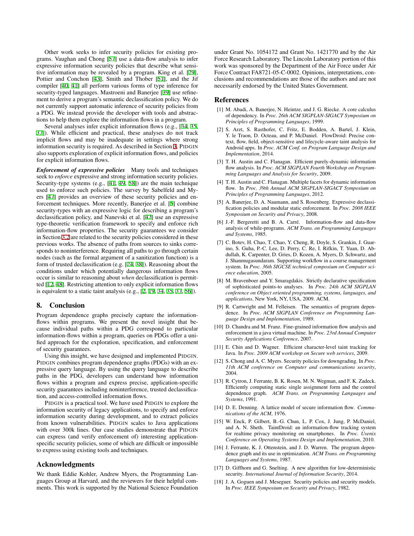Other work seeks to infer security policies for existing programs. Vaughan and Chong [\[57](#page-11-32)] use a data-flow analysis to infer expressive information security policies that describe what sensitive information may be revealed by a program. King et al. [[29\]](#page-11-19), Pottier and Conchon [[43\]](#page-11-33), Smith and Thober [\[51](#page-11-34)], and the Jif compiler [[40,](#page-11-35) [41\]](#page-11-3) all perform various forms of type inference for security-typed languages. Mastroeni and Banerjee [[39\]](#page-11-36) use refinement to derive a program's semantic declassification policy. We do not currently support automatic inference of security policies from a PDG. We instead provide the developer with tools and abstractions to help them explore the information flows in a program.

Several analyses infer explicit information flows (e.g., [[34,](#page-11-37) [35,](#page-11-38) [37\]](#page-11-39)). While efficient and practical, these analyses do not track implicit flows and may be inadequate in settings where strong information security is required. As described in Section [3,](#page-4-0) PIDGIN also supports exploration of explicit information flows, and policies for explicit information flows.

*Enforcement of expressive policies* Many tools and techniques seek to *enforce* expressive and strong information security policies. Security-type systems (e.g., [[41,](#page-11-3) [49](#page-11-4), [58](#page-11-2)]) are the main technique used to enforce such policies. The survey by Sabelfeld and Myers [[47\]](#page-11-17) provides an overview of these security policies and enforcement techniques. More recently, Banerjee et al. [[5](#page-10-16)] combine security-types with an expressive logic for describing a program's declassification policy, and Nanevski et al. [[42\]](#page-11-40) use an expressive type-theoretic verification framework to specify and enforce rich information-flow properties. The security guarantees we consider in Section [3.2](#page-4-1) are related to the security policies considered in these previous works. The absence of paths from sources to sinks corresponds to noninterference. Requiring all paths to go through certain nodes (such as the formal argument of a sanitization function) is a form of trusted declassification (e.g. [[24,](#page-11-0) [38](#page-11-41)]). Reasoning about the conditions under which potentially dangerous information flows occur is similar to reasoning about *when* declassification is permitted [[12,](#page-10-17) [48](#page-11-6)]. Restricting attention to only explicit information flows is equivalent to a static taint analysis (e.g., [[2](#page-10-7), [19,](#page-11-42) [34](#page-11-37), [35,](#page-11-38) [37,](#page-11-39) [56](#page-11-12)]).

# 8. Conclusion

Program dependence graphs precisely capture the informationflows within programs. We present the novel insight that because individual paths within a PDG correspond to particular information-flows within a program, queries on PDGs offer a unified approach for the exploration, specification, and enforcement of security guarantees.

Using this insight, we have designed and implemented PIDGIN. PIDGIN combines program dependence graphs (PDGs) with an expressive query language. By using the query language to describe paths in the PDG, developers can understand how information flows within a program and express precise, application-specific security guarantees including noninterference, trusted declassification, and access-controlled information flows.

PIDGIN is a practical tool. We have used PIDGIN to explore the information security of legacy applications, to specify and enforce information security during development, and to extract policies from known vulnerabilities. PIDGIN scales to Java applications with over 300k lines. Our case studies demonstrate that PIDGIN can express (and verify enforcement of) interesting applicationspecific security policies, some of which are difficult or impossible to express using existing tools and techniques.

# Acknowledgments

We thank Eddie Kohler, Andrew Myers, the Programming Languages Group at Harvard, and the reviewers for their helpful comments. This work is supported by the National Science Foundation under Grant No. 1054172 and Grant No. 1421770 and by the Air Force Research Laboratory. The Lincoln Laboratory portion of this work was sponsored by the Department of the Air Force under Air Force Contract FA8721-05-C-0002. Opinions, interpretations, conclusions and recommendations are those of the authors and are not necessarily endorsed by the United States Government.

# References

- <span id="page-10-13"></span>[1] M. Abadi, A. Banerjee, N. Heintze, and J. G. Riecke. A core calculus of dependency. In *Proc. 26th ACM SIGPLAN-SIGACT Symposium on Principles of Programming Languages*, 1999.
- <span id="page-10-7"></span>[2] S. Arzt, S. Rasthofer, C. Fritz, E. Bodden, A. Bartel, J. Klein, Y. le Traon, D. Octeau, and P. McDaniel. FlowDroid: Precise context, flow, field, object-sensitive and lifecycle-aware taint analysis for Android apps. In *Proc. ACM Conf. on Program Language Design and Implementation*, 2014.
- <span id="page-10-2"></span>[3] T. H. Austin and C. Flanagan. Efficient purely-dynamic information flow analysis. In *Proc. ACM SIGPLAN Fourth Workshop on Programming Languages and Analysis for Security*, 2009.
- <span id="page-10-3"></span>[4] T. H. Austin and C. Flanagan. Multiple facets for dynamic information flow. In *Proc. 39th Annual ACM SIGPLAN-SIGACT Symposium on Principles of Programming Languages*, 2012.
- <span id="page-10-16"></span>[5] A. Banerjee, D. A. Naumann, and S. Rosenberg. Expressive declassification policies and modular static enforcement. In *Proc. 2008 IEEE Symposium on Security and Privacy*, 2008.
- <span id="page-10-15"></span>[6] J.-F. Bergeretti and B. A. Carré. Information-flow and data-flow analysis of while-programs. *ACM Trans. on Programming Languages and Systems*, 1985.
- <span id="page-10-11"></span>[7] C. Botev, H. Chao, T. Chao, Y. Cheng, R. Doyle, S. Grankin, J. Guarino, S. Guha, P.-C. Lee, D. Perry, C. Re, I. Rifkin, T. Yuan, D. Abdullah, K. Carpenter, D. Gries, D. Kozen, A. Myers, D. Schwartz, and J. Shanmugasundaram. Supporting workflow in a course management system. In *Proc. 36th SIGCSE technical symposium on Computer science education*, 2005.
- <span id="page-10-10"></span>[8] M. Bravenboer and Y. Smaragdakis. Strictly declarative specification of sophisticated points-to analyses. In *Proc. 24th ACM SIGPLAN conference on Object oriented programming, systems, languages, and applications*, New York, NY, USA, 2009. ACM.
- <span id="page-10-14"></span>[9] R. Cartwright and M. Felleisen. The semantics of program dependence. In *Proc. ACM SIGPLAN Conference on Programming Language Design and Implementation*, 1989.
- <span id="page-10-4"></span>[10] D. Chandra and M. Franz. Fine-grained information flow analysis and enforcement in a java virtual machine. In *Proc. 23rd Annual Computer Security Applications Conference*, 2007.
- <span id="page-10-5"></span>[11] E. Chin and D. Wagner. Efficient character-level taint tracking for Java. In *Proc. 2009 ACM workshop on Secure web services*, 2009.
- <span id="page-10-17"></span>[12] S. Chong and A. C. Myers. Security policies for downgrading. In *Proc. 11th ACM conference on Computer and communications security*, 2004.
- <span id="page-10-8"></span>[13] R. Cytron, J. Ferrante, B. K. Rosen, M. N. Wegman, and F. K. Zadeck. Efficiently computing static single assignment form and the control dependence graph. *ACM Trans. on Programming Languages and Systems*, 1991.
- <span id="page-10-9"></span>[14] D. E. Denning. A lattice model of secure information flow. *Communications of the ACM*, 1976.
- <span id="page-10-6"></span>[15] W. Enck, P. Gilbert, B.-G. Chun, L. P. Cox, J. Jung, P. McDaniel, and A. N. Sheth. TaintDroid: an information-flow tracking system for realtime privacy monitoring on smartphones. In *Proc. Usenix Conference on Operating Systems Design and Implementation*, 2010.
- <span id="page-10-0"></span>[16] J. Ferrante, K. J. Ottenstein, and J. D. Warren. The program dependence graph and its use in optimization. *ACM Trans. on Programming Languages and Systems*, 1987.
- <span id="page-10-12"></span>[17] D. Giffhorn and G. Snelting. A new algorithm for low-deterministic security. *International Journal of Information Security*, 2014.
- <span id="page-10-1"></span>[18] J. A. Goguen and J. Meseguer. Security policies and security models. In *Proc. IEEE Symposium on Security and Privacy*, 1982.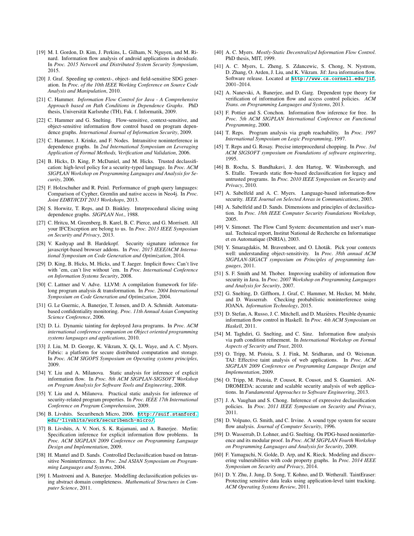- <span id="page-11-42"></span>[19] M. I. Gordon, D. Kim, J. Perkins, L. Gilham, N. Nguyen, and M. Rinard. Information flow analysis of android applications in droidsafe. In *Proc. 2015 Network and Distributed System Security Symposium*, 2015.
- <span id="page-11-26"></span>[20] J. Graf. Speeding up context-, object- and field-sensitive SDG generation. In *Proc. of the 10th IEEE Working Conference on Source Code Analysis and Manipulation*, 2010.
- <span id="page-11-5"></span>[21] C. Hammer. *Information Flow Control for Java - A Comprehensive Approach based on Path Conditions in Dependence Graphs*. PhD thesis, Universität Karlsruhe (TH), Fak. f. Informatik, 2009.
- <span id="page-11-15"></span>[22] C. Hammer and G. Snelting. Flow-sensitive, context-sensitive, and object-sensitive information flow control based on program dependence graphs. *International Journal of Information Security*, 2009.
- <span id="page-11-25"></span>[23] C. Hammer, J. Krinke, and F. Nodes. Intransitive noninterference in dependence graphs. In *2nd International Symposium on Leveraging Application of Formal Methods, Verification and Validation*, 2006.
- <span id="page-11-0"></span>[24] B. Hicks, D. King, P. McDaniel, and M. Hicks. Trusted declassification: high-level policy for a security-typed language. In *Proc. ACM SIGPLAN Workshop on Programming Languages and Analysis for Security*, 2006.
- <span id="page-11-22"></span>[25] F. Holzschuher and R. Peinl. Performance of graph query languages: Comparison of Cypher, Gremlin and native access in Neo4j. In *Proc. Joint EDBT/ICDT 2013 Workshops*, 2013.
- <span id="page-11-1"></span>[26] S. Horwitz, T. Reps, and D. Binkley. Interprocedural slicing using dependence graphs. *SIGPLAN Not.*, 1988.
- <span id="page-11-7"></span>[27] C. Hritcu, M. Greenberg, B. Karel, B. C. Pierce, and G. Morrisett. All your IFCException are belong to us. In *Proc. 2013 IEEE Symposium on Security and Privacy*, 2013.
- <span id="page-11-30"></span>[28] V. Kashyap and B. Hardekopf. Security signature inference for javascript-based browser addons. In *Proc. 2015 IEEE/ACM International Symposium on Code Generation and Optimization*, 2014.
- <span id="page-11-19"></span>[29] D. King, B. Hicks, M. Hicks, and T. Jaeger. Implicit flows: Can't live with 'em, can't live without 'em. In *Proc. International Conference on Information Systems Security*, 2008.
- <span id="page-11-16"></span>[30] C. Lattner and V. Adve. LLVM: A compilation framework for lifelong program analysis & transformation. In *Proc. 2004 International Symposium on Code Generation and Optimization*, 2004.
- <span id="page-11-8"></span>[31] G. Le Guernic, A. Banerjee, T. Jensen, and D. A. Schmidt. Automatabased confidentiality monitoring. *Proc. 11th Annual Asian Computing Science Conference*, 2006.
- <span id="page-11-10"></span>[32] D. Li. Dynamic tainting for deployed Java programs. In *Proc. ACM international conference companion on Object oriented programming systems languages and applications*, 2010.
- <span id="page-11-23"></span>[33] J. Liu, M. D. George, K. Vikram, X. Qi, L. Waye, and A. C. Myers. Fabric: a platform for secure distributed computation and storage. In *Proc. ACM SIGOPS Symposium on Operating systems principles*, 2009.
- <span id="page-11-37"></span>[34] Y. Liu and A. Milanova. Static analysis for inference of explicit information flow. In *Proc. 8th ACM SIGPLAN-SIGSOFT Workshop on Program Analysis for Software Tools and Engineering*, 2008.
- <span id="page-11-38"></span>[35] Y. Liu and A. Milanova. Practical static analysis for inference of security-related program properties. In *Proc. IEEE 17th International Conference on Program Comprehension*, 2009.
- <span id="page-11-14"></span>[36] B. Livshits. Securibench Micro, 2006. [http://suif.stanford.](http://suif.stanford.edu/~livshits/work/securibench-micro/) [edu/~livshits/work/securibench-micro/](http://suif.stanford.edu/~livshits/work/securibench-micro/).
- <span id="page-11-39"></span>[37] B. Livshits, A. V. Nori, S. K. Rajamani, and A. Banerjee. Merlin: Specification inference for explicit information flow problems. In *Proc. ACM SIGPLAN 2009 Conference on Programming Language Design and Implementation*, 2009.
- <span id="page-11-41"></span>[38] H. Mantel and D. Sands. Controlled Declassification based on Intransitive Noninterference. In *Proc. 2nd ASIAN Symposium on Programming Languages and Systems*, 2004.
- <span id="page-11-36"></span>[39] I. Mastroeni and A. Banerjee. Modelling declassification policies using abstract domain completeness. *Mathematical Structures in Computer Science*, 2011.
- <span id="page-11-35"></span>[40] A. C. Myers. *Mostly-Static Decentralized Information Flow Control*. PhD thesis, MIT, 1999.
- <span id="page-11-3"></span>[41] A. C. Myers, L. Zheng, S. Zdancewic, S. Chong, N. Nystrom, D. Zhang, O. Arden, J. Liu, and K. Vikram. Jif: Java information flow. Software release. Located at <http://www.cs.cornell.edu/jif>, 2001–2014.
- <span id="page-11-40"></span>[42] A. Nanevski, A. Banerjee, and D. Garg. Dependent type theory for verification of information flow and access control policies. *ACM Trans. on Programming Languages and Systems*, 2013.
- <span id="page-11-33"></span>[43] F. Pottier and S. Conchon. Information flow inference for free. In *Proc. 5th ACM SIGPLAN International Conference on Functional Programming*, 2000.
- <span id="page-11-20"></span>[44] T. Reps. Program analysis via graph reachability. In *Proc. 1997 International Symposium on Logic Programming*, 1997.
- <span id="page-11-28"></span>[45] T. Reps and G. Rosay. Precise interprocedural chopping. In *Proc. 3rd ACM SIGSOFT symposium on Foundations of software engineering*, 1995.
- <span id="page-11-31"></span>[46] B. Rocha, S. Bandhakavi, J. den Hartog, W. Winsborough, and S. Etalle. Towards static flow-based declassification for legacy and untrusted programs. In *Proc. 2010 IEEE Symposium on Security and Privacy*, 2010.
- <span id="page-11-17"></span>[47] A. Sabelfeld and A. C. Myers. Language-based information-flow security. *IEEE Journal on Selected Areas in Communications*, 2003.
- <span id="page-11-6"></span>[48] A. Sabelfeld and D. Sands. Dimensions and principles of declassification. In *Proc. 18th IEEE Computer Security Foundations Workshop*, 2005.
- <span id="page-11-4"></span>[49] V. Simonet. The Flow Caml System: documentation and user's manual. Technical report, Institut National de Recherche en Informatique et en Automatique (INRIA), 2003.
- <span id="page-11-21"></span>[50] Y. Smaragdakis, M. Bravenboer, and O. Lhoták. Pick your contexts well: understanding object-sensitivity. In *Proc. 38th annual ACM SIGPLAN-SIGACT symposium on Principles of programming languages*, 2011.
- <span id="page-11-34"></span>[51] S. F. Smith and M. Thober. Improving usability of information flow security in Java. In *Proc. 2007 Workshop on Programming Languages and Analysis for Security*, 2007.
- <span id="page-11-27"></span>[52] G. Snelting, D. Giffhorn, J. Graf, C. Hammer, M. Hecker, M. Mohr, and D. Wasserrab. Checking probabilistic noninterference using JOANA. *Information Technology*, 2015.
- <span id="page-11-9"></span>[53] D. Stefan, A. Russo, J. C. Mitchell, and D. Mazières. Flexible dynamic information flow control in Haskell. In *Proc. 4th ACM Symposium on Haskell*, 2011.
- <span id="page-11-24"></span>[54] M. Taghdiri, G. Snelting, and C. Sinz. Information flow analysis via path condition refinement. In *International Workshop on Formal Aspects of Security and Trust*, 2010.
- <span id="page-11-11"></span>[55] O. Tripp, M. Pistoia, S. J. Fink, M. Sridharan, and O. Weisman. TAJ: Effective taint analysis of web applications. In *Proc. ACM SIGPLAN 2009 Conference on Programming Language Design and Implementation*, 2009.
- <span id="page-11-12"></span>[56] O. Tripp, M. Pistoia, P. Cousot, R. Cousot, and S. Guarnieri. AN-DROMEDA: accurate and scalable security analysis of web applications. In *Fundamental Approaches to Software Engineering*, 2013.
- <span id="page-11-32"></span>[57] J. A. Vaughan and S. Chong. Inference of expressive declassification policies. In *Proc. 2011 IEEE Symposium on Security and Privacy*, 2011.
- <span id="page-11-2"></span>[58] D. Volpano, G. Smith, and C. Irvine. A sound type system for secure flow analysis. *Journal of Computer Security*, 1996.
- <span id="page-11-18"></span>[59] D. Wasserrab, D. Lohner, and G. Snelting. On PDG-based noninterference and its modular proof. In *Proc. ACM SIGPLAN Fourth Workshop on Programming Languages and Analysis for Security*, 2009.
- <span id="page-11-29"></span>[60] F. Yamaguchi, N. Golde, D. Arp, and K. Rieck. Modeling and discovering vulnerabilities with code property graphs. In *Proc. 2014 IEEE Symposium on Security and Privacy*, 2014.
- <span id="page-11-13"></span>[61] D. Y. Zhu, J. Jung, D. Song, T. Kohno, and D. Wetherall. TaintEraser: Protecting sensitive data leaks using application-level taint tracking. *ACM Operating Systems Review*, 2011.